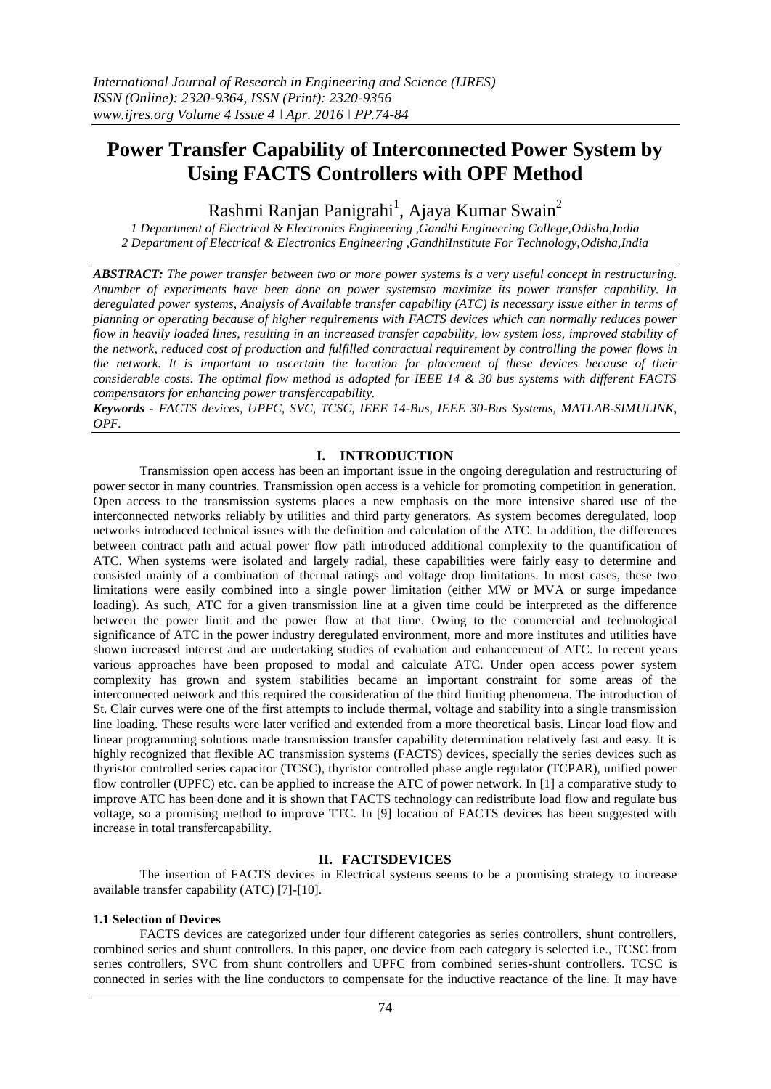# **Power Transfer Capability of Interconnected Power System by Using FACTS Controllers with OPF Method**

Rashmi Ranjan Panigrahi<sup>1</sup>, Ajaya Kumar Swain<sup>2</sup>

*1 Department of Electrical & Electronics Engineering ,Gandhi Engineering College,Odisha,India 2 Department of Electrical & Electronics Engineering ,GandhiInstitute For Technology,Odisha,India*

*ABSTRACT: The power transfer between two or more power systems is a very useful concept in restructuring. Anumber of experiments have been done on power systemsto maximize its power transfer capability. In deregulated power systems, Analysis of Available transfer capability (ATC) is necessary issue either in terms of planning or operating because of higher requirements with FACTS devices which can normally reduces power flow in heavily loaded lines, resulting in an increased transfer capability, low system loss, improved stability of the network, reduced cost of production and fulfilled contractual requirement by controlling the power flows in the network. It is important to ascertain the location for placement of these devices because of their considerable costs. The optimal flow method is adopted for IEEE 14 & 30 bus systems with different FACTS compensators for enhancing power transfercapability.*

*Keywords - FACTS devices, UPFC, SVC, TCSC, IEEE 14-Bus, IEEE 30-Bus Systems, MATLAB-SIMULINK, OPF.*

# **I. INTRODUCTION**

Transmission open access has been an important issue in the ongoing deregulation and restructuring of power sector in many countries. Transmission open access is a vehicle for promoting competition in generation. Open access to the transmission systems places a new emphasis on the more intensive shared use of the interconnected networks reliably by utilities and third party generators. As system becomes deregulated, loop networks introduced technical issues with the definition and calculation of the ATC. In addition, the differences between contract path and actual power flow path introduced additional complexity to the quantification of ATC. When systems were isolated and largely radial, these capabilities were fairly easy to determine and consisted mainly of a combination of thermal ratings and voltage drop limitations. In most cases, these two limitations were easily combined into a single power limitation (either MW or MVA or surge impedance loading). As such, ATC for a given transmission line at a given time could be interpreted as the difference between the power limit and the power flow at that time. Owing to the commercial and technological significance of ATC in the power industry deregulated environment, more and more institutes and utilities have shown increased interest and are undertaking studies of evaluation and enhancement of ATC. In recent years various approaches have been proposed to modal and calculate ATC. Under open access power system complexity has grown and system stabilities became an important constraint for some areas of the interconnected network and this required the consideration of the third limiting phenomena. The introduction of St. Clair curves were one of the first attempts to include thermal, voltage and stability into a single transmission line loading. These results were later verified and extended from a more theoretical basis. Linear load flow and linear programming solutions made transmission transfer capability determination relatively fast and easy. It is highly recognized that flexible AC transmission systems (FACTS) devices, specially the series devices such as thyristor controlled series capacitor (TCSC), thyristor controlled phase angle regulator (TCPAR), unified power flow controller (UPFC) etc. can be applied to increase the ATC of power network. In [1] a comparative study to improve ATC has been done and it is shown that FACTS technology can redistribute load flow and regulate bus voltage, so a promising method to improve TTC. In [9] location of FACTS devices has been suggested with increase in total transfercapability.

#### **II. FACTSDEVICES**

The insertion of FACTS devices in Electrical systems seems to be a promising strategy to increase available transfer capability (ATC) [7]-[10].

# **1.1 Selection of Devices**

FACTS devices are categorized under four different categories as series controllers, shunt controllers, combined series and shunt controllers. In this paper, one device from each category is selected i.e., TCSC from series controllers, SVC from shunt controllers and UPFC from combined series-shunt controllers. TCSC is connected in series with the line conductors to compensate for the inductive reactance of the line. It may have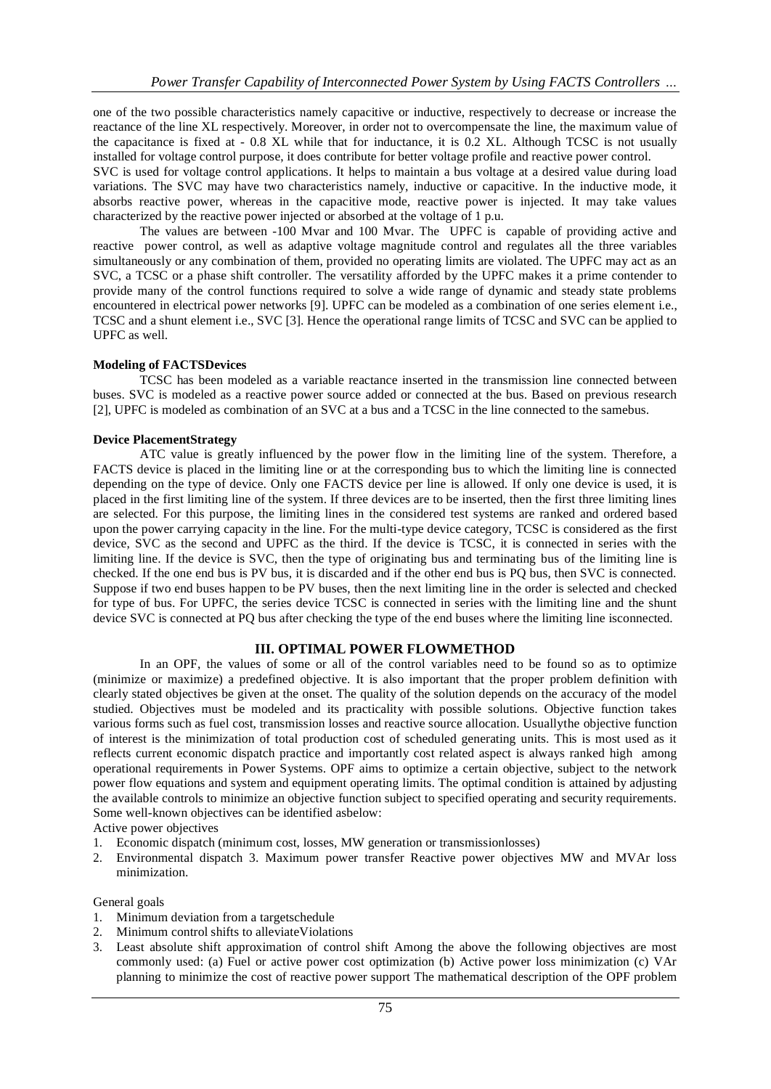one of the two possible characteristics namely capacitive or inductive, respectively to decrease or increase the reactance of the line XL respectively. Moreover, in order not to overcompensate the line, the maximum value of the capacitance is fixed at - 0.8 XL while that for inductance, it is 0.2 XL. Although TCSC is not usually installed for voltage control purpose, it does contribute for better voltage profile and reactive power control. SVC is used for voltage control applications. It helps to maintain a bus voltage at a desired value during load

variations. The SVC may have two characteristics namely, inductive or capacitive. In the inductive mode, it absorbs reactive power, whereas in the capacitive mode, reactive power is injected. It may take values characterized by the reactive power injected or absorbed at the voltage of 1 p.u.

The values are between -100 Mvar and 100 Mvar. The UPFC is capable of providing active and reactive power control, as well as adaptive voltage magnitude control and regulates all the three variables simultaneously or any combination of them, provided no operating limits are violated. The UPFC may act as an SVC, a TCSC or a phase shift controller. The versatility afforded by the UPFC makes it a prime contender to provide many of the control functions required to solve a wide range of dynamic and steady state problems encountered in electrical power networks [9]. UPFC can be modeled as a combination of one series element i.e., TCSC and a shunt element i.e., SVC [3]. Hence the operational range limits of TCSC and SVC can be applied to UPFC as well.

#### **Modeling of FACTSDevices**

TCSC has been modeled as a variable reactance inserted in the transmission line connected between buses. SVC is modeled as a reactive power source added or connected at the bus. Based on previous research [2], UPFC is modeled as combination of an SVC at a bus and a TCSC in the line connected to the samebus.

#### **Device PlacementStrategy**

ATC value is greatly influenced by the power flow in the limiting line of the system. Therefore, a FACTS device is placed in the limiting line or at the corresponding bus to which the limiting line is connected depending on the type of device. Only one FACTS device per line is allowed. If only one device is used, it is placed in the first limiting line of the system. If three devices are to be inserted, then the first three limiting lines are selected. For this purpose, the limiting lines in the considered test systems are ranked and ordered based upon the power carrying capacity in the line. For the multi-type device category, TCSC is considered as the first device, SVC as the second and UPFC as the third. If the device is TCSC, it is connected in series with the limiting line. If the device is SVC, then the type of originating bus and terminating bus of the limiting line is checked. If the one end bus is PV bus, it is discarded and if the other end bus is PQ bus, then SVC is connected. Suppose if two end buses happen to be PV buses, then the next limiting line in the order is selected and checked for type of bus. For UPFC, the series device TCSC is connected in series with the limiting line and the shunt device SVC is connected at PQ bus after checking the type of the end buses where the limiting line isconnected.

# **III. OPTIMAL POWER FLOWMETHOD**

In an OPF, the values of some or all of the control variables need to be found so as to optimize (minimize or maximize) a predefined objective. It is also important that the proper problem definition with clearly stated objectives be given at the onset. The quality of the solution depends on the accuracy of the model studied. Objectives must be modeled and its practicality with possible solutions. Objective function takes various forms such as fuel cost, transmission losses and reactive source allocation. Usuallythe objective function of interest is the minimization of total production cost of scheduled generating units. This is most used as it reflects current economic dispatch practice and importantly cost related aspect is always ranked high among operational requirements in Power Systems. OPF aims to optimize a certain objective, subject to the network power flow equations and system and equipment operating limits. The optimal condition is attained by adjusting the available controls to minimize an objective function subject to specified operating and security requirements. Some well-known objectives can be identified asbelow:

Active power objectives

- 1. Economic dispatch (minimum cost, losses, MW generation or transmissionlosses)
- 2. Environmental dispatch 3. Maximum power transfer Reactive power objectives MW and MVAr loss minimization.

#### General goals

- 1. Minimum deviation from a targetschedule
- 2. Minimum control shifts to alleviateViolations
- 3. Least absolute shift approximation of control shift Among the above the following objectives are most commonly used: (a) Fuel or active power cost optimization (b) Active power loss minimization (c) VAr planning to minimize the cost of reactive power support The mathematical description of the OPF problem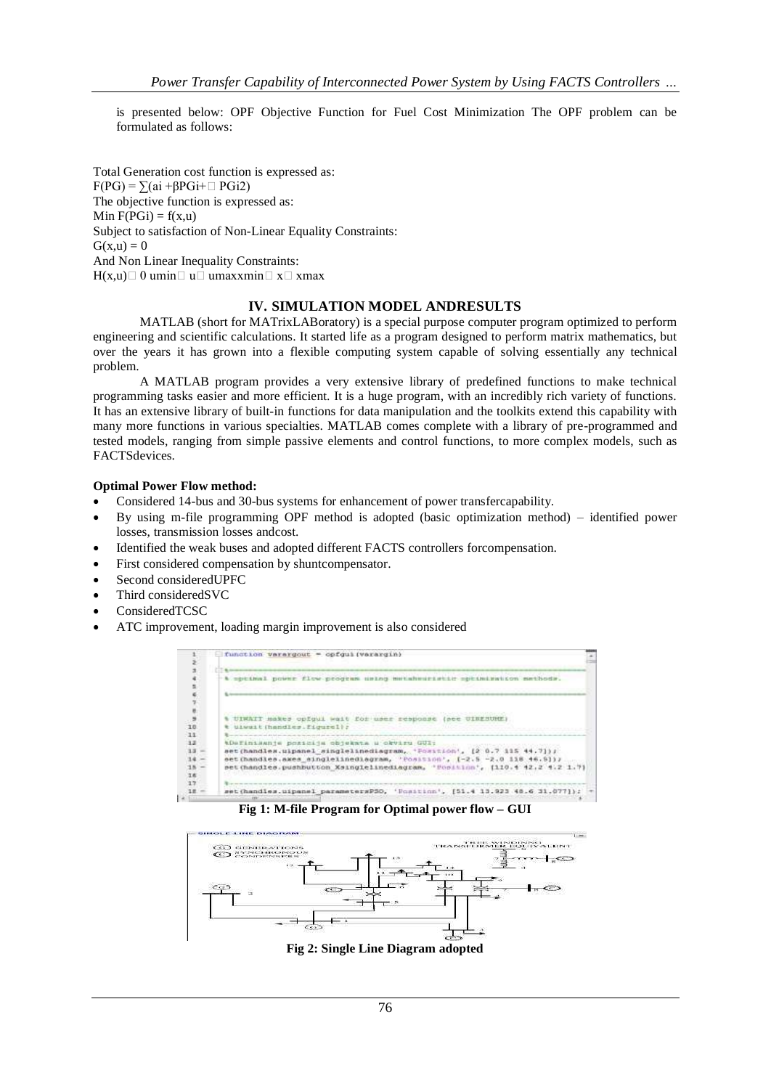is presented below: OPF Objective Function for Fuel Cost Minimization The OPF problem can be formulated as follows:

Total Generation cost function is expressed as:  $F(PG) = \sum (ai + \beta PGi + \square PGi2)$ The objective function is expressed as: Min  $F(PGi) = f(x,u)$ Subject to satisfaction of Non-Linear Equality Constraints:  $G(x,u) = 0$ And Non Linear Inequality Constraints:  $H(x,u) \square 0$  umin $\square$  u $\square$  umaxxmin $\square$  x $\square$  xmax

#### **IV. SIMULATION MODEL ANDRESULTS**

MATLAB (short for MATrixLABoratory) is a special purpose computer program optimized to perform engineering and scientific calculations. It started life as a program designed to perform matrix mathematics, but over the years it has grown into a flexible computing system capable of solving essentially any technical problem.

A MATLAB program provides a very extensive library of predefined functions to make technical programming tasks easier and more efficient. It is a huge program, with an incredibly rich variety of functions. It has an extensive library of built-in functions for data manipulation and the toolkits extend this capability with many more functions in various specialties. MATLAB comes complete with a library of pre-programmed and tested models, ranging from simple passive elements and control functions, to more complex models, such as FACTSdevices.

#### **Optimal Power Flow method:**

- Considered 14-bus and 30-bus systems for enhancement of power transfercapability.
- By using m-file programming OPF method is adopted (basic optimization method) identified power losses, transmission losses andcost.
- Identified the weak buses and adopted different FACTS controllers forcompensation.
- First considered compensation by shuntcompensator.
- Second consideredUPFC
- Third consideredSVC
- ConsideredTCSC
- ATC improvement, loading margin improvement is also considered



**Fig 1: M-file Program for Optimal power flow – GUI**



**Fig 2: Single Line Diagram adopted**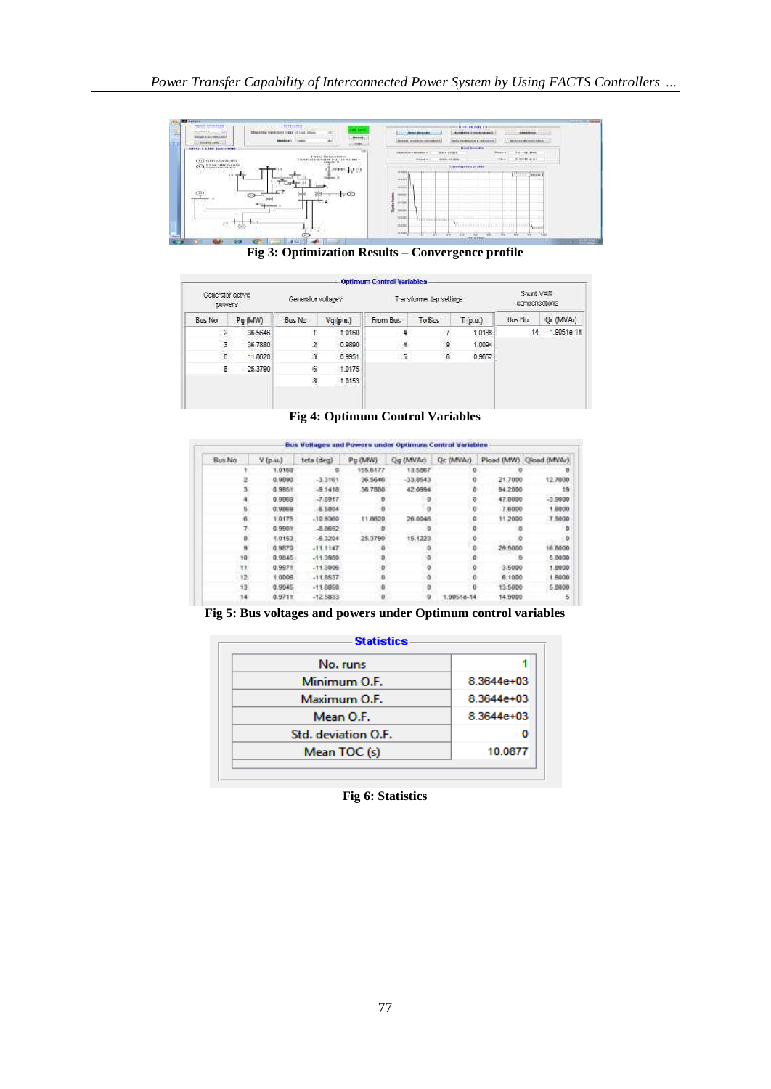

**Fig 3: Optimization Results – Convergence profile**

| Generator active<br>powers: |         | Generator voltages |          | Transformer tap settings |        |         | Shunt VAR<br>compensations |            |
|-----------------------------|---------|--------------------|----------|--------------------------|--------|---------|----------------------------|------------|
| <b>Bus No</b>               | Pq (MW) | Bus No             | Vq(p.u.) | From Bus                 | To Bus | T(p.u.) | Bus No                     | Oc (MVAr)  |
| $\overline{2}$              | 36.5646 |                    | 1,0160   |                          |        | 1.0186  | 14                         | 1,9051e-14 |
| 3                           | 36,7880 |                    | 0.9890   | 4                        | 9      | 1.0094  |                            |            |
| 6                           | 11,8620 | 3                  | 0.9951   | 5.                       | 6      | 0.9652  |                            |            |
| 8                           | 25,3790 | 6.                 | 1,0175   |                          |        |         |                            |            |
|                             |         | 8                  | 1,0153   |                          |        |         |                            |            |

**Fig 4: Optimum Control Variables**

| Pload (MW) Oload (MVAr) |           | <b>Gc (MVAr)</b> | Og (MVAr)  | Pg (MW)  | teta (deg) | $V$ (p.u.) | Bus No          |
|-------------------------|-----------|------------------|------------|----------|------------|------------|-----------------|
|                         |           |                  | 13,5867    | 155,6177 |            | 1.0150     |                 |
| 12,7000                 | 21,7000   |                  | $-33,0543$ | 36,5648  | $-3.3161$  | 0.9890     |                 |
| 19                      | 94,2000   |                  | 42,0994    | 36,7880  | $-9.1418$  | 0.9951     |                 |
| $-3.9000$               | 47.0000   | o                | - 0        |          | $-7.6917$  | 0.9869     |                 |
| 1,6000                  | 7,6000    | n.               |            |          | $-6.5804$  | 0.9869     |                 |
| 7,5000                  | 11,2000   |                  | 26.0046    | 11:5620  | $-10.9360$ | 1.0175     |                 |
|                         |           |                  |            |          | $-8.8692$  | 0.9901     |                 |
| a                       |           |                  | 15.1223    | 25.3790  | $-6,3204$  | 1.0153     | я               |
| 16,6000                 | 29,5000   |                  |            |          | $-11.1147$ | 0.9870     | a               |
| 5.8000                  |           |                  |            |          | $-11.3960$ | 0.9845     | 10              |
| 1.6000                  | $-3.5000$ |                  |            |          | $-11.3006$ | 0.9971     | TT.             |
| 1,6000                  | 6.1000    |                  | o          |          | $-11.8637$ | 1.0006     | 12.             |
| 5.8000                  | 13.5000   |                  | 0          |          | $-11.8850$ | 0.9945     | 13 <sub>1</sub> |
| 5                       | 14.9000   | 1.90516-14       | o          |          | $-12.5833$ | 0.9711     | 14              |

**Fig 5: Bus voltages and powers under Optimum control variables**

| No. runs            |              |
|---------------------|--------------|
| Minimum O.F.        | $8.3644e+03$ |
| Maximum O.F.        | 8.3644e+03   |
| Mean O.F.           | 8.3644e+03   |
| Std. deviation O.F. |              |
| Mean TOC (s)        | 10.0877      |

**Fig 6: Statistics**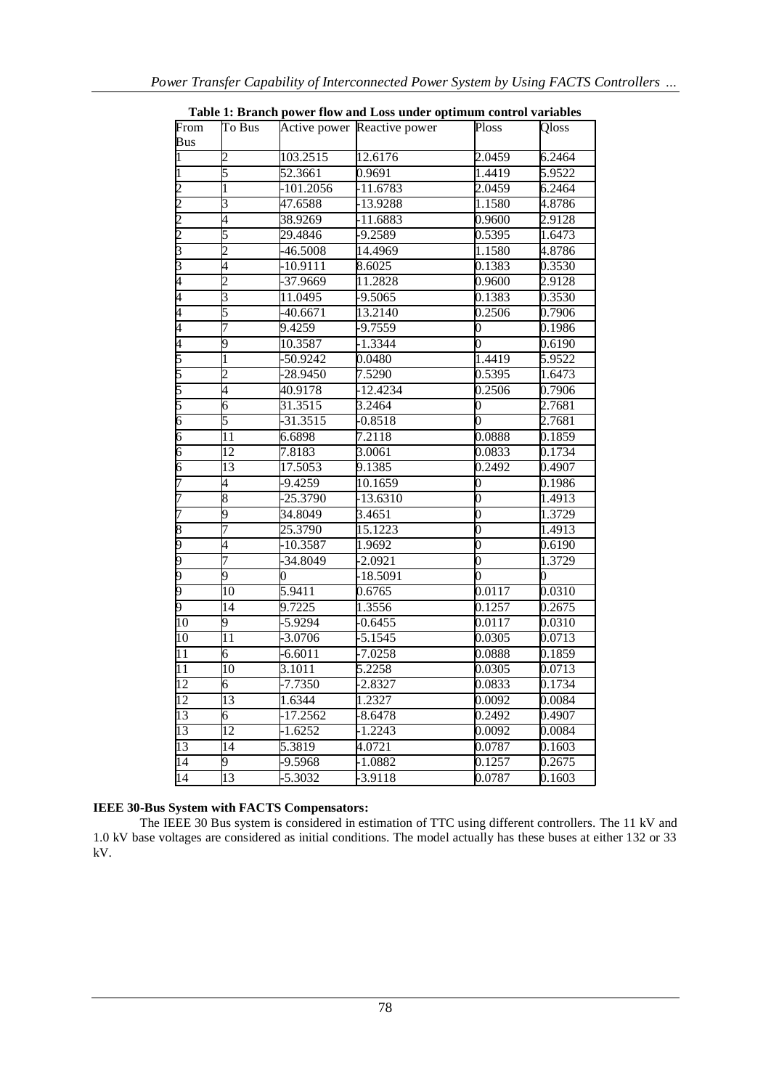|                    |                          |             | Table 1. Dramen power flow and Loss under optimum control variables |                |        |
|--------------------|--------------------------|-------------|---------------------------------------------------------------------|----------------|--------|
| From<br><b>Bus</b> | To Bus                   |             | Active power Reactive power                                         | Ploss          | Qloss  |
| 1                  | 2                        | 103.2515    | 12.6176                                                             | 2.0459         | 6.2464 |
| $\overline{1}$     | 5                        | 52.3661     | 0.9691                                                              | 1.4419         | 5.9522 |
| $\overline{c}$     | 1                        | $-101.2056$ | $-11.6783$                                                          | 2.0459         | 6.2464 |
| $\overline{2}$     | $\overline{\mathbf{3}}$  | 47.6588     | $-13.9288$                                                          | 1.1580         | 4.8786 |
| $\overline{2}$     | 4                        | 38.9269     | $-11.6883$                                                          | 0.9600         | 2.9128 |
| $\overline{c}$     | 5                        | 29.4846     | $-9.2589$                                                           | 0.5395         | 1.6473 |
| $\overline{3}$     | 2                        | 46.5008     | 14.4969                                                             | 1.1580         | 4.8786 |
| 3                  | 4                        | $-10.9111$  | 8.6025                                                              | 0.1383         | 0.3530 |
| 4                  | $\overline{2}$           | -37.9669    | 11.2828                                                             | 0.9600         | 2.9128 |
| $\overline{4}$     | 3                        | 11.0495     | -9.5065                                                             | 0.1383         | 0.3530 |
| 4                  | 5                        | $-40.6671$  | 13.2140                                                             | 0.2506         | 0.7906 |
| $\overline{4}$     | 7                        | 9.4259      | $-9.7559$                                                           | 0              | 0.1986 |
| $\overline{4}$     | 9                        | 10.3587     | $-1.3344$                                                           | $\overline{0}$ | 0.6190 |
| 5                  | 1                        | $-50.9242$  | 0.0480                                                              | 1.4419         | 5.9522 |
| 5                  | $\overline{\mathcal{L}}$ | $-28.9450$  | 7.5290                                                              | 0.5395         | 1.6473 |
| 5                  | 4                        | 40.9178     | $-12.4234$                                                          | 0.2506         | 0.7906 |
| 5                  | 6                        | 31.3515     | 3.2464                                                              | 0              | 2.7681 |
| $\overline{6}$     | 5                        | 31.3515     | $-0.8518$                                                           | $\overline{0}$ | 2.7681 |
| $\overline{6}$     | $\overline{11}$          | 6.6898      | 7.2118                                                              | 0.0888         | 0.1859 |
| $\overline{6}$     | 12                       | 7.8183      | 3.0061                                                              | 0.0833         | 0.1734 |
| $\overline{6}$     | 13                       | 17.5053     | 9.1385                                                              | 0.2492         | 0.4907 |
| 7                  | 4                        | 9.4259      | 10.1659                                                             | 0              | 0.1986 |
| 7                  | 8                        | $-25.3790$  | $-13.6310$                                                          | $\overline{0}$ | 1.4913 |
| 7                  | 9                        | 34.8049     | 3.4651                                                              | $\overline{0}$ | 1.3729 |
| $\overline{8}$     | 7                        | 25.3790     | 15.1223                                                             | 0              | 1.4913 |
| 9                  | 4                        | 10.3587     | 1.9692                                                              | $\overline{0}$ | 0.6190 |
| 9                  | 7                        | 34.8049     | $-2.0921$                                                           | $\overline{0}$ | 1.3729 |
| 9                  | 9                        | 0           | $-18.5091$                                                          | 0              | 0      |
| 9                  | $\overline{10}$          | 5.9411      | 0.6765                                                              | 0.0117         | 0.0310 |
| 9                  | 14                       | 9.7225      | 1.3556                                                              | 0.1257         | 0.2675 |
| 10                 | 9                        | $-5.9294$   | $-0.6455$                                                           | 0.0117         | 0.0310 |
| 10                 | 11                       | $-3.0706$   | $-5.1545$                                                           | 0.0305         | 0.0713 |
| $\overline{11}$    | 6                        | $-6.6011$   | $-7.0258$                                                           | 0.0888         | 0.1859 |
| $\overline{11}$    | 10                       | 3.1011      | 5.2258                                                              | 0.0305         | 0.0713 |
| 12                 | 6                        | $-7.7350$   | $-2.8327$                                                           | 0.0833         | 0.1734 |
| 12                 | 13                       | 1.6344      | 1.2327                                                              | 0.0092         | 0.0084 |
| 13                 | 6                        | $-17.2562$  | $-8.6478$                                                           | 0.2492         | 0.4907 |
| 13                 | $\overline{12}$          | $-1.6252$   | $-1.2243$                                                           | 0.0092         | 0.0084 |
| 13                 | 14                       | 5.3819      | 4.0721                                                              | 0.0787         | 0.1603 |
| 14                 | 9                        | 9.5968      | $-1.0882$                                                           | 0.1257         | 0.2675 |
| $\overline{14}$    | $\overline{13}$          | 5.3032      | -3.9118                                                             | 0.0787         | 0.1603 |

**Table 1: Branch power flow and Loss under optimum control variables**

#### **IEEE 30-Bus System with FACTS Compensators:**

The IEEE 30 Bus system is considered in estimation of TTC using different controllers. The 11 kV and 1.0 kV base voltages are considered as initial conditions. The model actually has these buses at either 132 or 33 kV.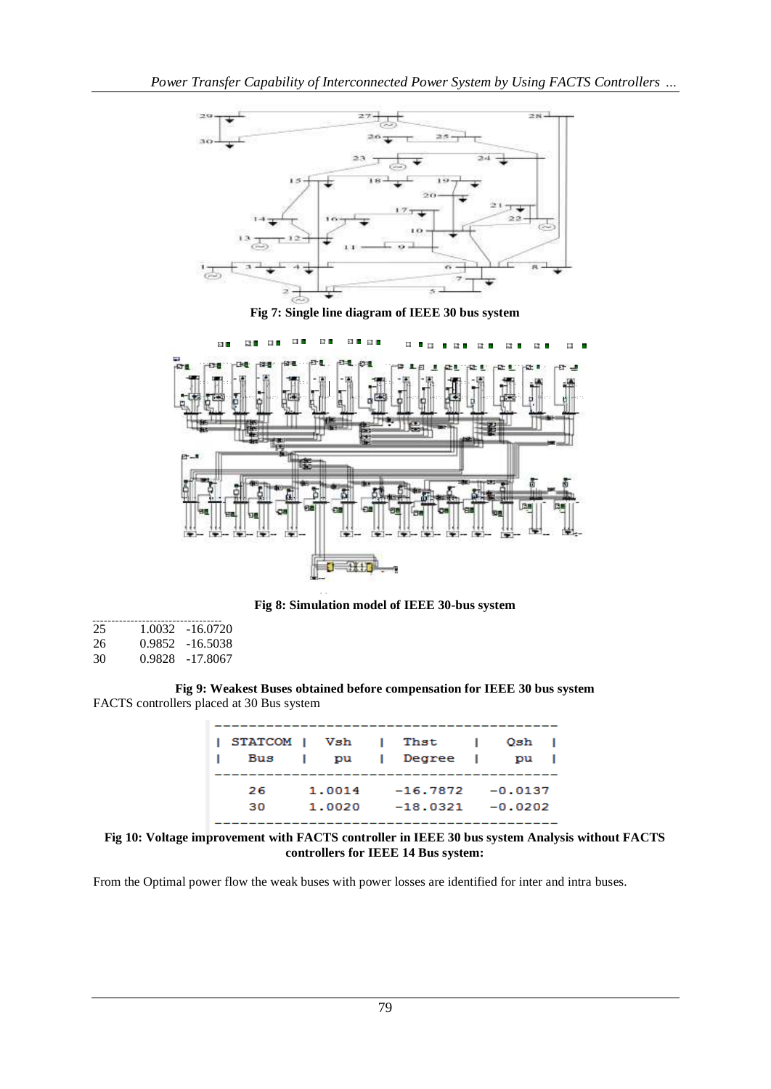

**Fig 7: Single line diagram of IEEE 30 bus system**



**Fig 8: Simulation model of IEEE 30-bus system**

| 25       |        | 1.0032 -16.0720    |
|----------|--------|--------------------|
| 26       |        | 0.9852 -16.5038    |
| $\Omega$ | 0.0000 | 17.00 <sub>7</sub> |

30 0.9828 -17.8067

**Fig 9: Weakest Buses obtained before compensation for IEEE 30 bus system** FACTS controllers placed at 30 Bus system

| STATCOM   Vsh   Thst |          |                     | <b>Contract</b> | Qsh       |  |
|----------------------|----------|---------------------|-----------------|-----------|--|
|                      | Bus I pu | l Degree l          |                 | <b>DU</b> |  |
|                      |          |                     |                 |           |  |
| 26                   | 1.0014   | $-16.7872 - 0.0137$ |                 |           |  |
| 30                   | 1.0020   | $-18.0321 - 0.0202$ |                 |           |  |
|                      |          |                     |                 |           |  |

**Fig 10: Voltage improvement with FACTS controller in IEEE 30 bus system Analysis without FACTS controllers for IEEE 14 Bus system:**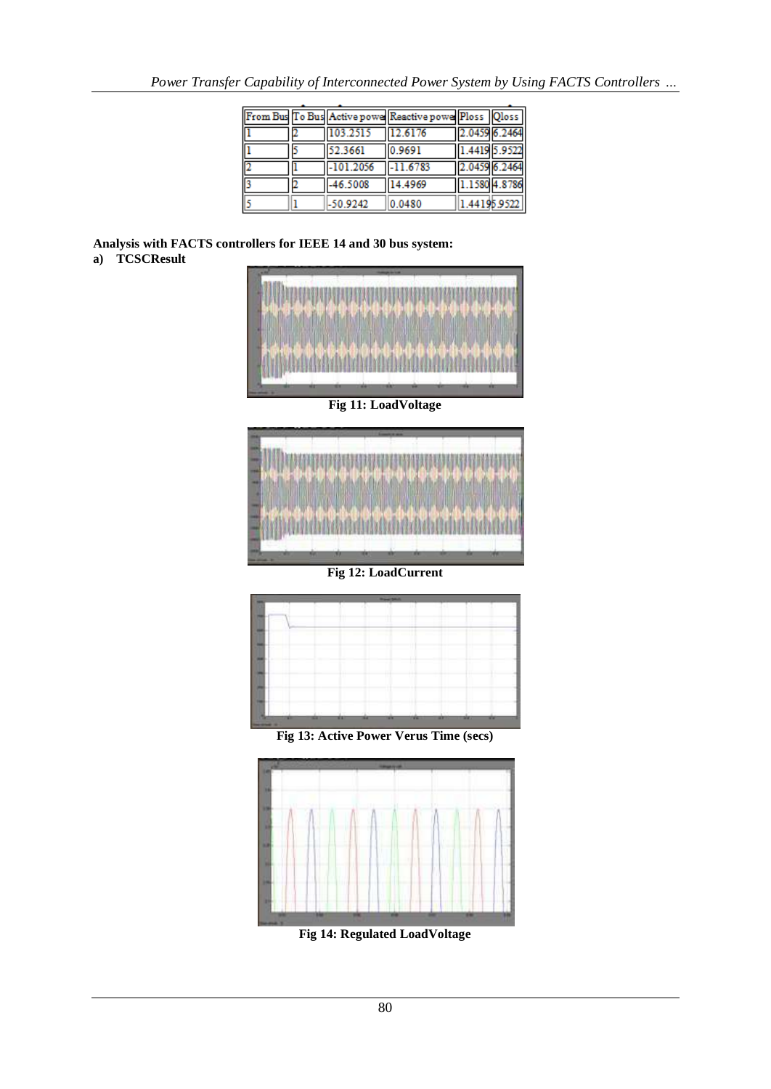|    |                | From Bus To Bus Active power Reactive power Ploss Qloss |               |              |
|----|----------------|---------------------------------------------------------|---------------|--------------|
|    | 103.2515       | 12.6176                                                 | 2.0459 6.2464 |              |
| l1 | 52.3661        | 0.9691                                                  | 1.4419 5.9522 |              |
| 2  | $1 - 101.2056$ | $-11.6783$                                              | 2.0459 6.2464 |              |
| з  | $-46.5008$     | 14.4969                                                 | 1.1580 4.8786 |              |
|    | $-50.9242$     | 0.0480                                                  |               | 1.44195.9522 |

**Analysis with FACTS controllers for IEEE 14 and 30 bus system: a) TCSCResult**



**Fig 12: LoadCurrent**



**Fig 13: Active Power Verus Time (secs)**



**Fig 14: Regulated LoadVoltage**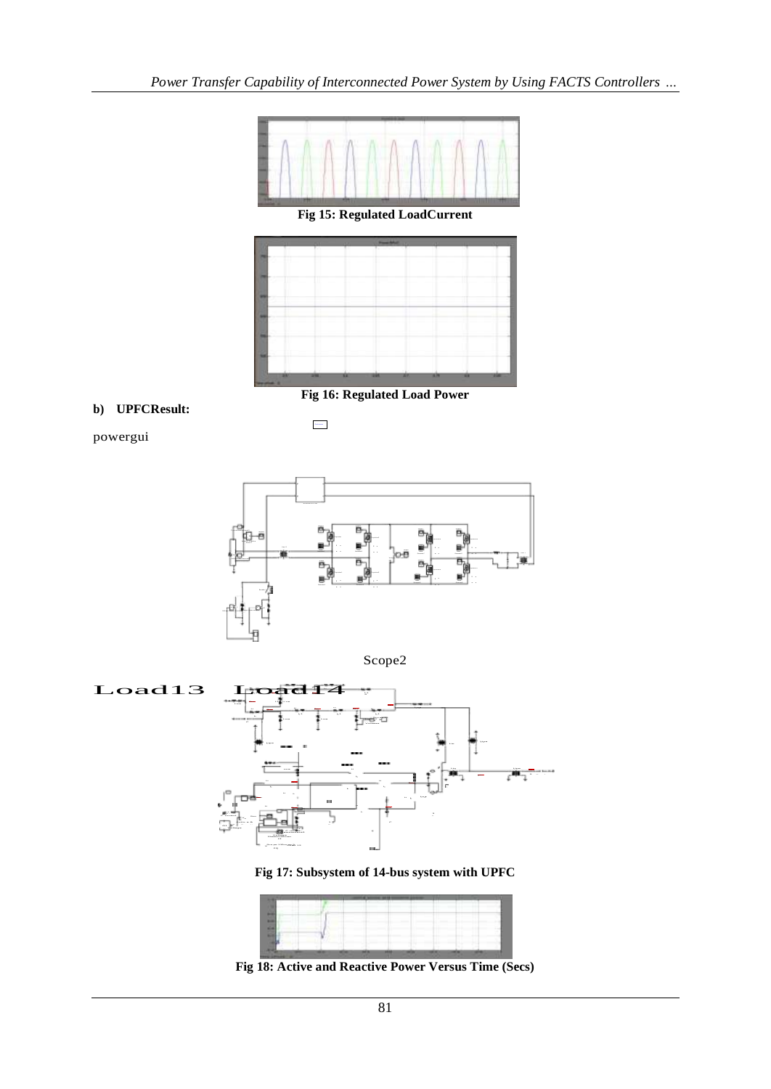



**Fig 16: Regulated Load Power**

# **b) UPFCResult:**

Co nt in uous

powergui



Scope2



Fig 17: Subsystem of 14-bus system with UPFC

![](_page_7_Figure_10.jpeg)

**Fig 18: Active and Reactive Power Versus Time (Secs)**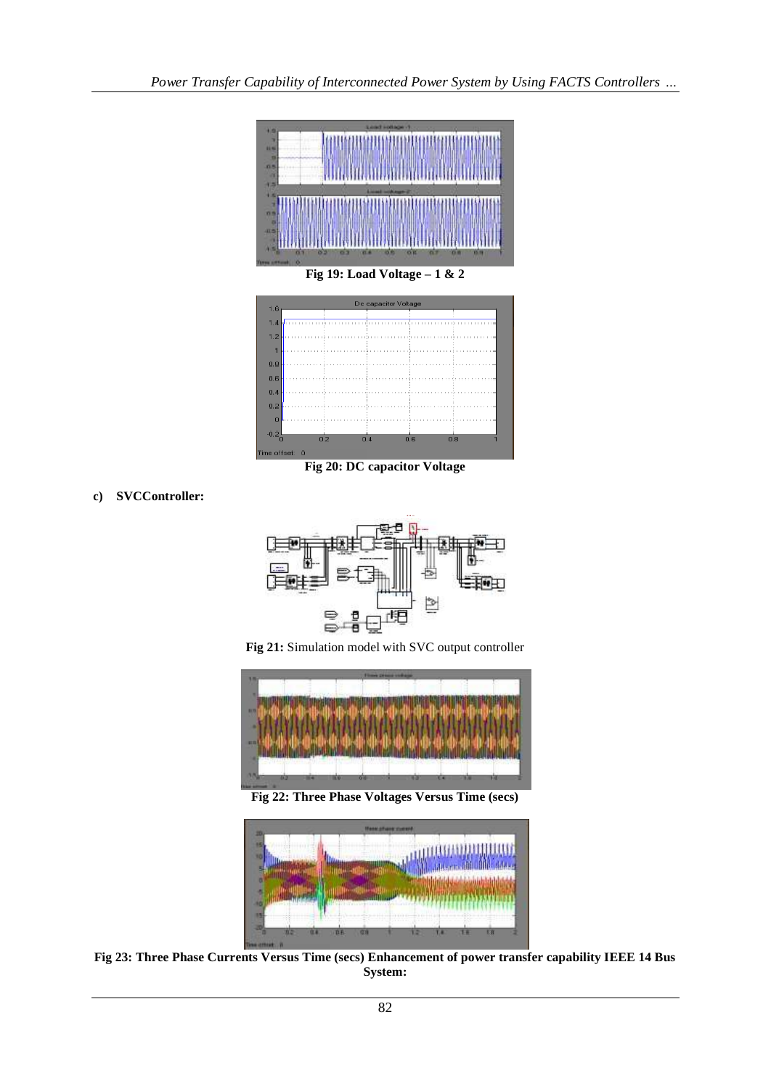![](_page_8_Figure_1.jpeg)

![](_page_8_Figure_2.jpeg)

**Fig 20: DC capacitor Voltage**

**c) SVCController:**

![](_page_8_Figure_5.jpeg)

**Fig 21:** Simulation model with SVC output controller

![](_page_8_Picture_7.jpeg)

**Fig 22: Three Phase Voltages Versus Time (secs)**

![](_page_8_Figure_9.jpeg)

**Fig 23: Three Phase Currents Versus Time (secs) Enhancement of power transfer capability IEEE 14 Bus System:**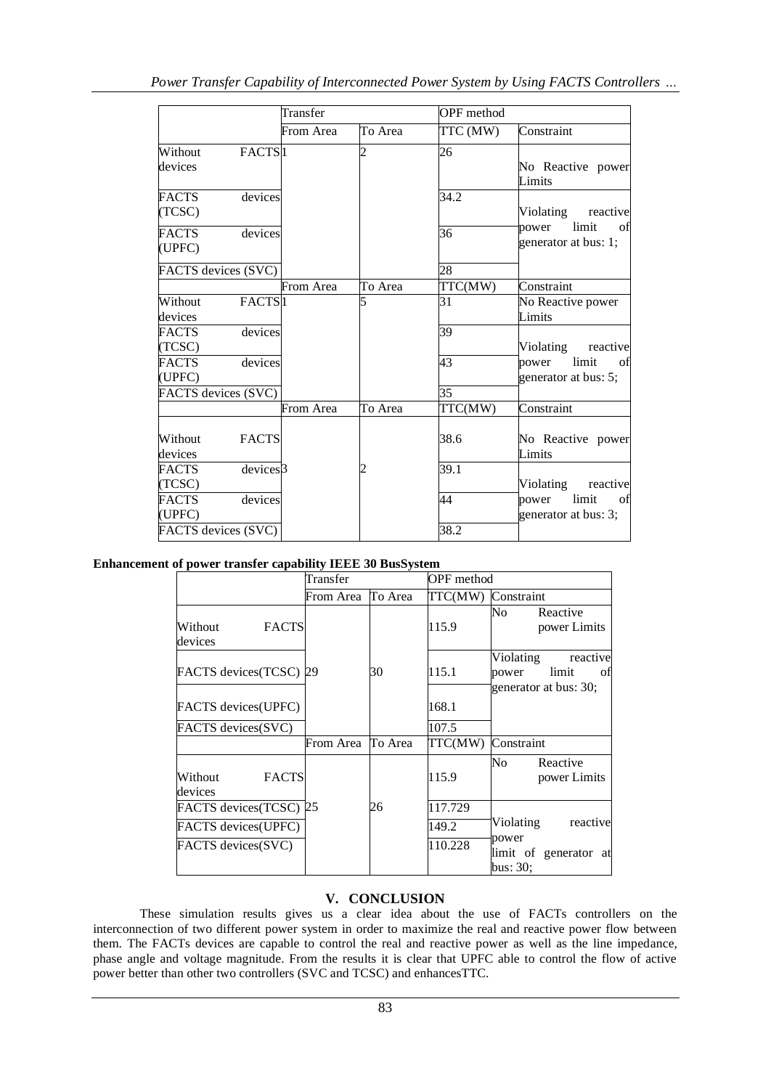|                        |                      | Transfer  |         | OPF method |                                              |  |
|------------------------|----------------------|-----------|---------|------------|----------------------------------------------|--|
|                        |                      | From Area | To Area | TTC (MW)   | Constraint                                   |  |
| Without<br>devices     | FACTS <sup>1</sup>   |           | っ       | 26         | No Reactive power<br>Limits                  |  |
| <b>FACTS</b><br>(TCSC) | devices              |           |         | 34.2       | Violating<br>reactive                        |  |
| <b>FACTS</b><br>(UPFC) | devices              |           |         | 36         | limit<br>of<br>power<br>generator at bus: 1; |  |
| FACTS devices (SVC)    |                      |           |         | 28         |                                              |  |
|                        |                      | From Area | To Area | TTC(MW)    | Constraint                                   |  |
| Without<br>devices     | FACTS <sup>1</sup>   |           |         | 31         | No Reactive power<br>Limits                  |  |
| <b>FACTS</b><br>(TCSC) | devices              |           |         | 39         | Violating<br>reactive                        |  |
| <b>FACTS</b><br>(UPFC) | devices              |           |         | 43         | limit<br>power<br>of<br>generator at bus: 5; |  |
| FACTS devices (SVC)    |                      |           |         | 35         |                                              |  |
|                        |                      | From Area | To Area | TTC(MW)    | Constraint                                   |  |
| Without<br>devices     | <b>FACTS</b>         |           |         | 38.6       | No Reactive power<br>Limits                  |  |
| <b>FACTS</b><br>(TCSC) | devices <sup>3</sup> |           |         | 39.1       | Violating<br>reactive                        |  |
| <b>FACTS</b><br>(UPFC) | devices              |           |         | 44         | limit<br>power<br>of<br>generator at bus: 3; |  |
| FACTS devices (SVC)    |                      |           |         | 38.2       |                                              |  |

# **Enhancement of power transfer capability IEEE 30 BusSystem**

|                                    | Transfer          |         | OPF method         |                                                                        |
|------------------------------------|-------------------|---------|--------------------|------------------------------------------------------------------------|
|                                    | From Area         | To Area | TTC(MW) Constraint |                                                                        |
| <b>FACTS</b><br>Without<br>devices |                   |         | 115.9              | No<br>Reactive<br>power Limits                                         |
| FACTS devices(TCSC) 29             |                   | 30      | 115.1              | Violating<br>reactive<br>limit<br>οf<br>power<br>generator at bus: 30; |
| FACTS devices(UPFC)                |                   |         | 168.1              |                                                                        |
| FACTS devices(SVC)                 |                   |         | 107.5              |                                                                        |
|                                    | From Area To Area |         | TTC(MW)            | Constraint                                                             |
| <b>FACTS</b><br>Without<br>devices |                   |         | 115.9              | No<br>Reactive<br>power Limits                                         |
| FACTS devices(TCSC) 25             |                   | 26      | 117.729            |                                                                        |
| FACTS devices(UPFC)                |                   |         | 149.2              | Violating<br>reactive<br>power                                         |
| FACTS devices(SVC)                 |                   |         | 110.228            | limit of generator at<br>bus: 30;                                      |

# **V. CONCLUSION**

These simulation results gives us a clear idea about the use of FACTs controllers on the interconnection of two different power system in order to maximize the real and reactive power flow between them. The FACTs devices are capable to control the real and reactive power as well as the line impedance, phase angle and voltage magnitude. From the results it is clear that UPFC able to control the flow of active power better than other two controllers (SVC and TCSC) and enhancesTTC.